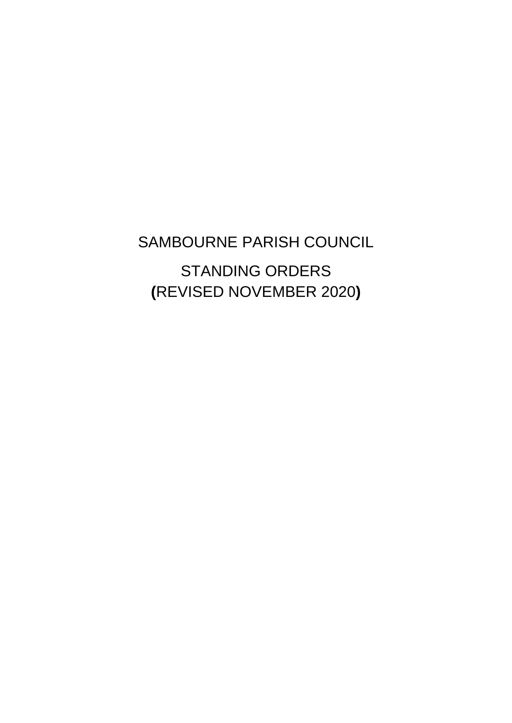SAMBOURNE PARISH COUNCIL STANDING ORDERS **(**REVISED NOVEMBER 2020**)**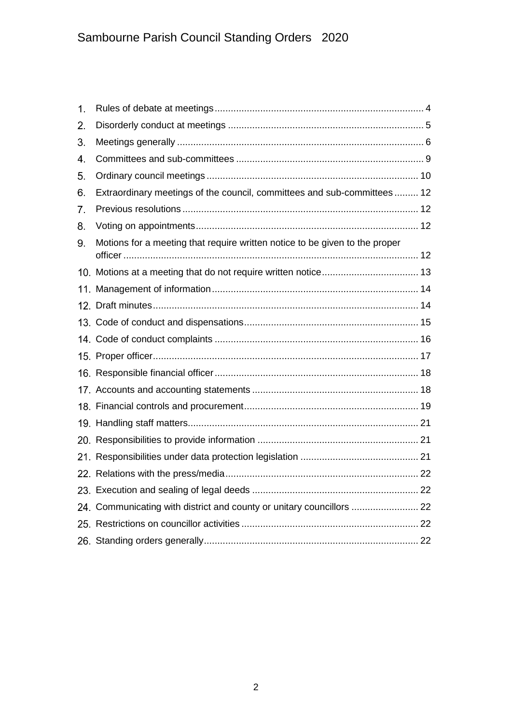| 1. |                                                                             |  |
|----|-----------------------------------------------------------------------------|--|
| 2. |                                                                             |  |
| 3. |                                                                             |  |
| 4. |                                                                             |  |
| 5. |                                                                             |  |
| 6. | Extraordinary meetings of the council, committees and sub-committees  12    |  |
| 7. |                                                                             |  |
| 8. |                                                                             |  |
| 9. | Motions for a meeting that require written notice to be given to the proper |  |
|    |                                                                             |  |
|    |                                                                             |  |
|    |                                                                             |  |
|    |                                                                             |  |
|    |                                                                             |  |
|    |                                                                             |  |
|    |                                                                             |  |
|    |                                                                             |  |
|    |                                                                             |  |
|    |                                                                             |  |
|    |                                                                             |  |
|    |                                                                             |  |
|    |                                                                             |  |
|    |                                                                             |  |
|    | 24. Communicating with district and county or unitary councillors  22       |  |
|    |                                                                             |  |
|    |                                                                             |  |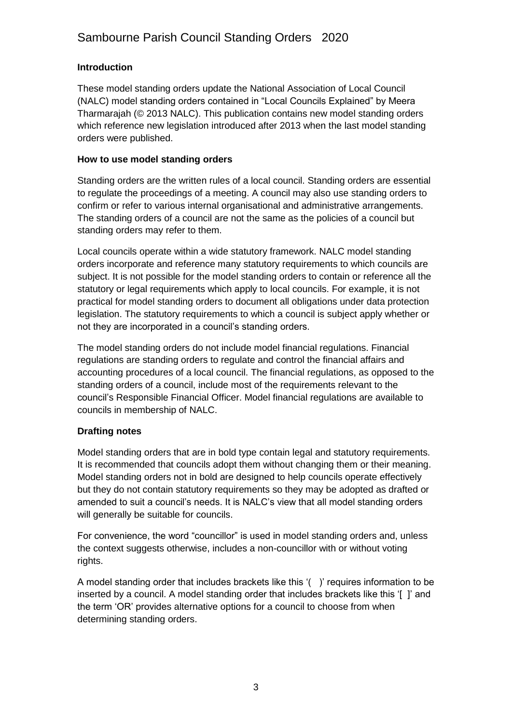## **Introduction**

These model standing orders update the National Association of Local Council (NALC) model standing orders contained in "Local Councils Explained" by Meera Tharmarajah (© 2013 NALC). This publication contains new model standing orders which reference new legislation introduced after 2013 when the last model standing orders were published.

## **How to use model standing orders**

Standing orders are the written rules of a local council. Standing orders are essential to regulate the proceedings of a meeting. A council may also use standing orders to confirm or refer to various internal organisational and administrative arrangements. The standing orders of a council are not the same as the policies of a council but standing orders may refer to them.

Local councils operate within a wide statutory framework. NALC model standing orders incorporate and reference many statutory requirements to which councils are subject. It is not possible for the model standing orders to contain or reference all the statutory or legal requirements which apply to local councils. For example, it is not practical for model standing orders to document all obligations under data protection legislation. The statutory requirements to which a council is subject apply whether or not they are incorporated in a council's standing orders.

The model standing orders do not include model financial regulations. Financial regulations are standing orders to regulate and control the financial affairs and accounting procedures of a local council. The financial regulations, as opposed to the standing orders of a council, include most of the requirements relevant to the council's Responsible Financial Officer. Model financial regulations are available to councils in membership of NALC.

## **Drafting notes**

Model standing orders that are in bold type contain legal and statutory requirements. It is recommended that councils adopt them without changing them or their meaning. Model standing orders not in bold are designed to help councils operate effectively but they do not contain statutory requirements so they may be adopted as drafted or amended to suit a council's needs. It is NALC's view that all model standing orders will generally be suitable for councils.

For convenience, the word "councillor" is used in model standing orders and, unless the context suggests otherwise, includes a non-councillor with or without voting rights.

A model standing order that includes brackets like this '( )' requires information to be inserted by a council. A model standing order that includes brackets like this '[ ]' and the term 'OR' provides alternative options for a council to choose from when determining standing orders.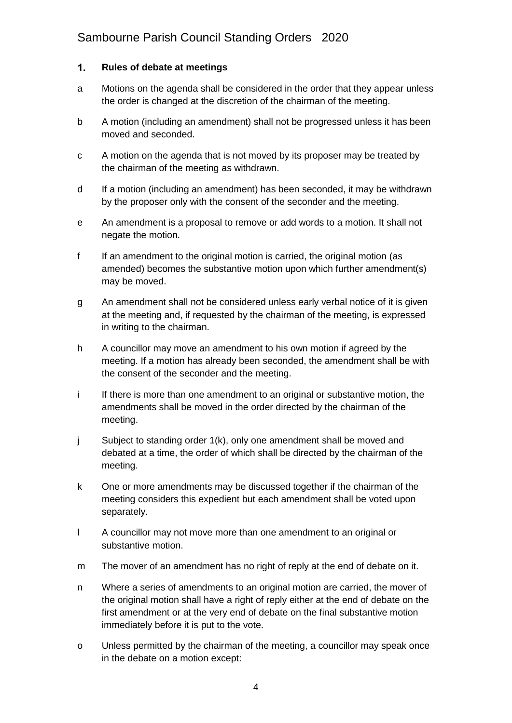### <span id="page-3-0"></span> $1.$ **Rules of debate at meetings**

- a Motions on the agenda shall be considered in the order that they appear unless the order is changed at the discretion of the chairman of the meeting.
- b A motion (including an amendment) shall not be progressed unless it has been moved and seconded.
- c A motion on the agenda that is not moved by its proposer may be treated by the chairman of the meeting as withdrawn.
- d If a motion (including an amendment) has been seconded, it may be withdrawn by the proposer only with the consent of the seconder and the meeting.
- e An amendment is a proposal to remove or add words to a motion. It shall not negate the motion.
- f If an amendment to the original motion is carried, the original motion (as amended) becomes the substantive motion upon which further amendment(s) may be moved.
- g An amendment shall not be considered unless early verbal notice of it is given at the meeting and, if requested by the chairman of the meeting, is expressed in writing to the chairman.
- h A councillor may move an amendment to his own motion if agreed by the meeting. If a motion has already been seconded, the amendment shall be with the consent of the seconder and the meeting.
- i If there is more than one amendment to an original or substantive motion, the amendments shall be moved in the order directed by the chairman of the meeting.
- j Subject to standing order 1(k), only one amendment shall be moved and debated at a time, the order of which shall be directed by the chairman of the meeting.
- k One or more amendments may be discussed together if the chairman of the meeting considers this expedient but each amendment shall be voted upon separately.
- l A councillor may not move more than one amendment to an original or substantive motion.
- m The mover of an amendment has no right of reply at the end of debate on it.
- n Where a series of amendments to an original motion are carried, the mover of the original motion shall have a right of reply either at the end of debate on the first amendment or at the very end of debate on the final substantive motion immediately before it is put to the vote.
- o Unless permitted by the chairman of the meeting, a councillor may speak once in the debate on a motion except: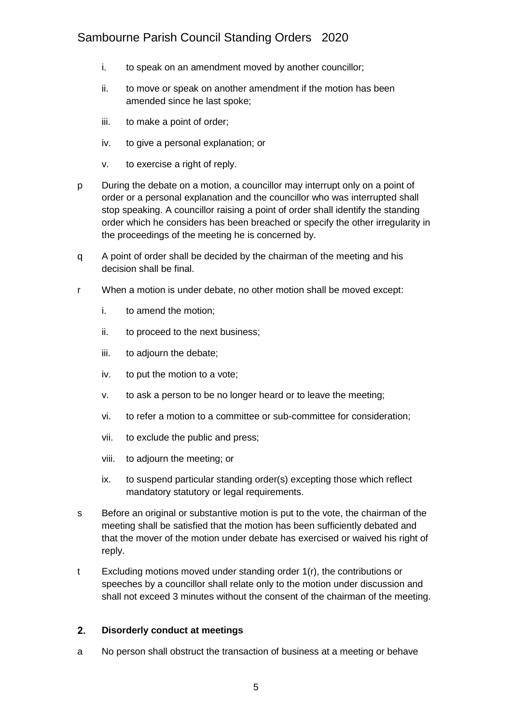- i. to speak on an amendment moved by another councillor;
- ii. to move or speak on another amendment if the motion has been amended since he last spoke;
- iii. to make a point of order;
- iv. to give a personal explanation; or
- v. to exercise a right of reply.
- p During the debate on a motion, a councillor may interrupt only on a point of order or a personal explanation and the councillor who was interrupted shall stop speaking. A councillor raising a point of order shall identify the standing order which he considers has been breached or specify the other irregularity in the proceedings of the meeting he is concerned by.
- q A point of order shall be decided by the chairman of the meeting and his decision shall be final.
- r When a motion is under debate, no other motion shall be moved except:
	- i. to amend the motion;
	- ii. to proceed to the next business;
	- iii. to adjourn the debate;
	- iv. to put the motion to a vote;
	- v. to ask a person to be no longer heard or to leave the meeting;
	- vi. to refer a motion to a committee or sub-committee for consideration;
	- vii. to exclude the public and press;
	- viii. to adjourn the meeting; or
	- ix. to suspend particular standing order(s) excepting those which reflect mandatory statutory or legal requirements.
- s Before an original or substantive motion is put to the vote, the chairman of the meeting shall be satisfied that the motion has been sufficiently debated and that the mover of the motion under debate has exercised or waived his right of reply.
- t Excluding motions moved under standing order 1(r), the contributions or speeches by a councillor shall relate only to the motion under discussion and shall not exceed 3 minutes without the consent of the chairman of the meeting.

### <span id="page-4-0"></span> $2.$ **Disorderly conduct at meetings**

a No person shall obstruct the transaction of business at a meeting or behave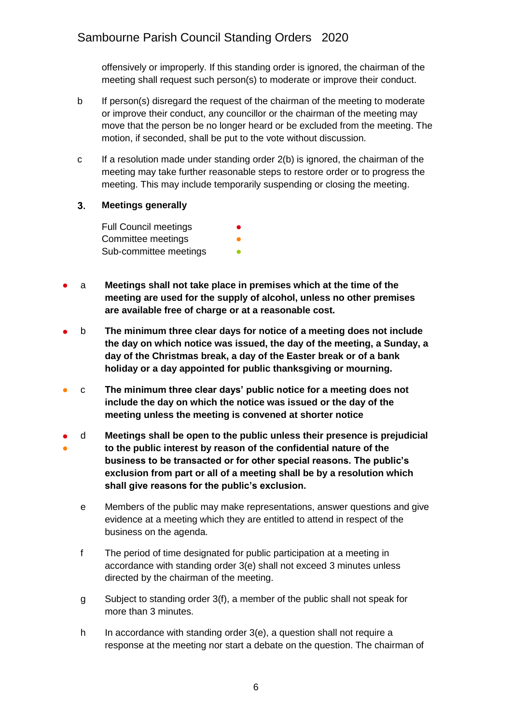offensively or improperly. If this standing order is ignored, the chairman of the meeting shall request such person(s) to moderate or improve their conduct.

- b If person(s) disregard the request of the chairman of the meeting to moderate or improve their conduct, any councillor or the chairman of the meeting may move that the person be no longer heard or be excluded from the meeting. The motion, if seconded, shall be put to the vote without discussion.
- c If a resolution made under standing order 2(b) is ignored, the chairman of the meeting may take further reasonable steps to restore order or to progress the meeting. This may include temporarily suspending or closing the meeting.
- <span id="page-5-0"></span> $3<sub>1</sub>$ **Meetings generally**

Full Council meetings Committee meetings Sub-committee meetings

- a **Meetings shall not take place in premises which at the time of the meeting are used for the supply of alcohol, unless no other premises are available free of charge or at a reasonable cost.**
- b **The minimum three clear days for notice of a meeting does not include the day on which notice was issued, the day of the meeting, a Sunday, a day of the Christmas break, a day of the Easter break or of a bank holiday or a day appointed for public thanksgiving or mourning.**
- c **The minimum three clear days' public notice for a meeting does not include the day on which the notice was issued or the day of the meeting unless the meeting is convened at shorter notice**
- ● d **Meetings shall be open to the public unless their presence is prejudicial to the public interest by reason of the confidential nature of the business to be transacted or for other special reasons. The public's exclusion from part or all of a meeting shall be by a resolution which shall give reasons for the public's exclusion.**
	- e Members of the public may make representations, answer questions and give evidence at a meeting which they are entitled to attend in respect of the business on the agenda.
	- f The period of time designated for public participation at a meeting in accordance with standing order 3(e) shall not exceed 3 minutes unless directed by the chairman of the meeting.
	- g Subject to standing order 3(f), a member of the public shall not speak for more than 3 minutes.
	- h In accordance with standing order 3(e), a question shall not require a response at the meeting nor start a debate on the question. The chairman of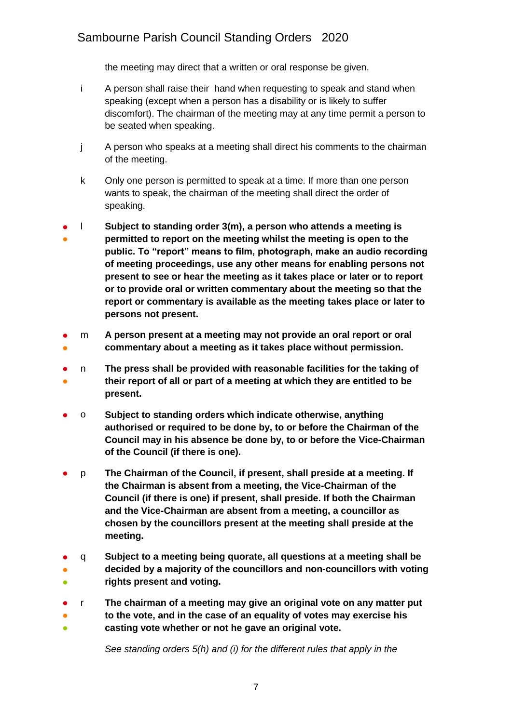the meeting may direct that a written or oral response be given.

- i A person shall raise their hand when requesting to speak and stand when speaking (except when a person has a disability or is likely to suffer discomfort). The chairman of the meeting may at any time permit a person to be seated when speaking.
- j A person who speaks at a meeting shall direct his comments to the chairman of the meeting.
- k Only one person is permitted to speak at a time. If more than one person wants to speak, the chairman of the meeting shall direct the order of speaking.
- ● l **Subject to standing order 3(m), a person who attends a meeting is permitted to report on the meeting whilst the meeting is open to the public. To "report" means to film, photograph, make an audio recording of meeting proceedings, use any other means for enabling persons not present to see or hear the meeting as it takes place or later or to report or to provide oral or written commentary about the meeting so that the report or commentary is available as the meeting takes place or later to persons not present.**
- ● m **A person present at a meeting may not provide an oral report or oral commentary about a meeting as it takes place without permission.**
- ● n **The press shall be provided with reasonable facilities for the taking of their report of all or part of a meeting at which they are entitled to be present.**
- o **Subject to standing orders which indicate otherwise, anything authorised or required to be done by, to or before the Chairman of the Council may in his absence be done by, to or before the Vice-Chairman of the Council (if there is one).**
- p **The Chairman of the Council, if present, shall preside at a meeting. If the Chairman is absent from a meeting, the Vice-Chairman of the Council (if there is one) if present, shall preside. If both the Chairman and the Vice-Chairman are absent from a meeting, a councillor as chosen by the councillors present at the meeting shall preside at the meeting.**
- q **Subject to a meeting being quorate, all questions at a meeting shall be**
- ● **decided by a majority of the councillors and non-councillors with voting rights present and voting.**
- r **The chairman of a meeting may give an original vote on any matter put**
- ● **to the vote, and in the case of an equality of votes may exercise his casting vote whether or not he gave an original vote.**

*See standing orders 5(h) and (i) for the different rules that apply in the*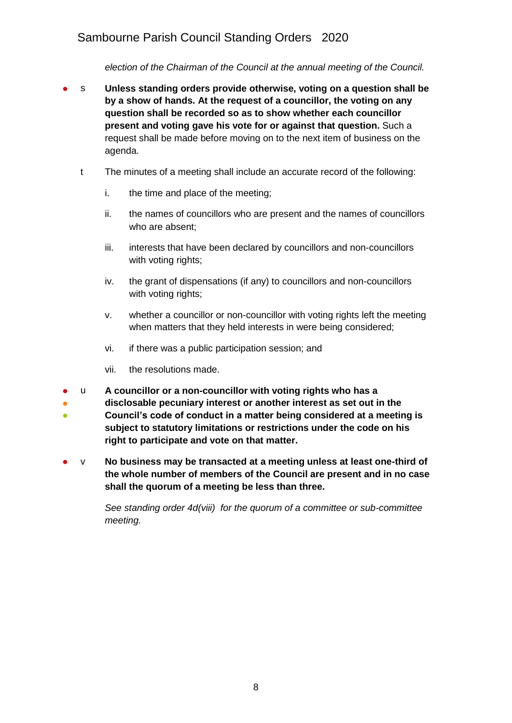*election of the Chairman of the Council at the annual meeting of the Council.*

- s **Unless standing orders provide otherwise, voting on a question shall be by a show of hands. At the request of a councillor, the voting on any question shall be recorded so as to show whether each councillor present and voting gave his vote for or against that question.** Such a request shall be made before moving on to the next item of business on the agenda.
	- t The minutes of a meeting shall include an accurate record of the following:
		- i. the time and place of the meeting;
		- ii. the names of councillors who are present and the names of councillors who are absent;
		- iii. interests that have been declared by councillors and non-councillors with voting rights;
		- iv. the grant of dispensations (if any) to councillors and non-councillors with voting rights;
		- v. whether a councillor or non-councillor with voting rights left the meeting when matters that they held interests in were being considered;
		- vi. if there was a public participation session; and
		- vii. the resolutions made.
- u **A councillor or a non-councillor with voting rights who has a**
- **disclosable pecuniary interest or another interest as set out in the**
- **Council's code of conduct in a matter being considered at a meeting is subject to statutory limitations or restrictions under the code on his right to participate and vote on that matter.**
- v **No business may be transacted at a meeting unless at least one-third of the whole number of members of the Council are present and in no case shall the quorum of a meeting be less than three.**

*See standing order 4d(viii) for the quorum of a committee or sub-committee meeting.*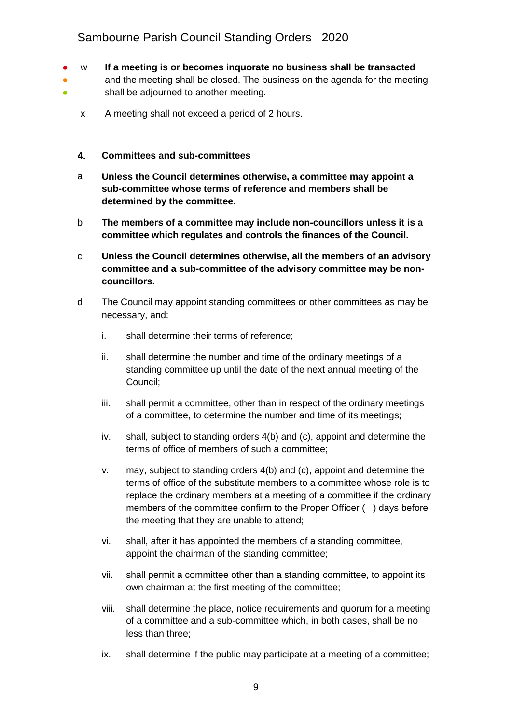- w **If a meeting is or becomes inquorate no business shall be transacted**
- 。<br>● and the meeting shall be closed. The business on the agenda for the meeting shall be adjourned to another meeting.
	- x A meeting shall not exceed a period of 2 hours.

### <span id="page-8-0"></span>4. **Committees and sub-committees**

- a **Unless the Council determines otherwise, a committee may appoint a sub-committee whose terms of reference and members shall be determined by the committee.**
- b **The members of a committee may include non-councillors unless it is a committee which regulates and controls the finances of the Council.**
- c **Unless the Council determines otherwise, all the members of an advisory committee and a sub-committee of the advisory committee may be noncouncillors.**
- d The Council may appoint standing committees or other committees as may be necessary, and:
	- i. shall determine their terms of reference;
	- ii. shall determine the number and time of the ordinary meetings of a standing committee up until the date of the next annual meeting of the Council;
	- iii. shall permit a committee, other than in respect of the ordinary meetings of a committee, to determine the number and time of its meetings;
	- iv. shall, subject to standing orders 4(b) and (c), appoint and determine the terms of office of members of such a committee;
	- v. may, subject to standing orders 4(b) and (c), appoint and determine the terms of office of the substitute members to a committee whose role is to replace the ordinary members at a meeting of a committee if the ordinary members of the committee confirm to the Proper Officer ( ) days before the meeting that they are unable to attend;
	- vi. shall, after it has appointed the members of a standing committee, appoint the chairman of the standing committee;
	- vii. shall permit a committee other than a standing committee, to appoint its own chairman at the first meeting of the committee;
	- viii. shall determine the place, notice requirements and quorum for a meeting of a committee and a sub-committee which, in both cases, shall be no less than three;
	- ix. shall determine if the public may participate at a meeting of a committee;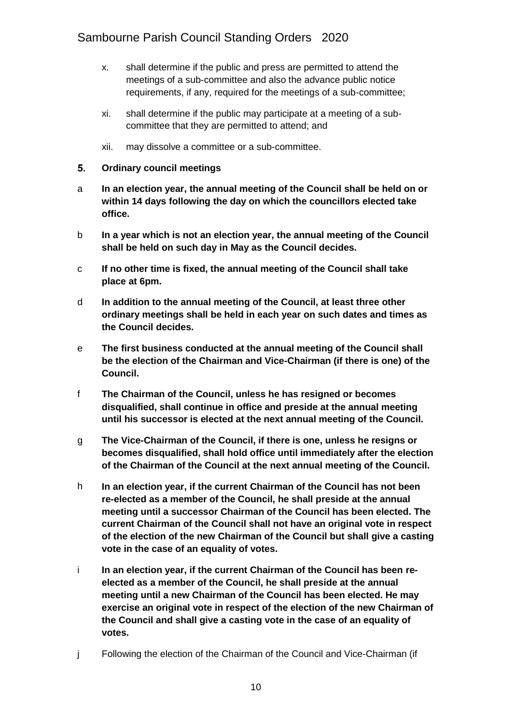- x. shall determine if the public and press are permitted to attend the meetings of a sub-committee and also the advance public notice requirements, if any, required for the meetings of a sub-committee;
- xi. shall determine if the public may participate at a meeting of a subcommittee that they are permitted to attend; and
- xii. may dissolve a committee or a sub-committee.

### <span id="page-9-0"></span>5. **Ordinary council meetings**

- a **In an election year, the annual meeting of the Council shall be held on or within 14 days following the day on which the councillors elected take office.**
- b **In a year which is not an election year, the annual meeting of the Council shall be held on such day in May as the Council decides.**
- c **If no other time is fixed, the annual meeting of the Council shall take place at 6pm.**
- d **In addition to the annual meeting of the Council, at least three other ordinary meetings shall be held in each year on such dates and times as the Council decides.**
- e **The first business conducted at the annual meeting of the Council shall be the election of the Chairman and Vice-Chairman (if there is one) of the Council.**
- f **The Chairman of the Council, unless he has resigned or becomes disqualified, shall continue in office and preside at the annual meeting until his successor is elected at the next annual meeting of the Council.**
- g **The Vice-Chairman of the Council, if there is one, unless he resigns or becomes disqualified, shall hold office until immediately after the election of the Chairman of the Council at the next annual meeting of the Council.**
- h **In an election year, if the current Chairman of the Council has not been re-elected as a member of the Council, he shall preside at the annual meeting until a successor Chairman of the Council has been elected. The current Chairman of the Council shall not have an original vote in respect of the election of the new Chairman of the Council but shall give a casting vote in the case of an equality of votes.**
- i **In an election year, if the current Chairman of the Council has been reelected as a member of the Council, he shall preside at the annual meeting until a new Chairman of the Council has been elected. He may exercise an original vote in respect of the election of the new Chairman of the Council and shall give a casting vote in the case of an equality of votes.**
- j Following the election of the Chairman of the Council and Vice-Chairman (if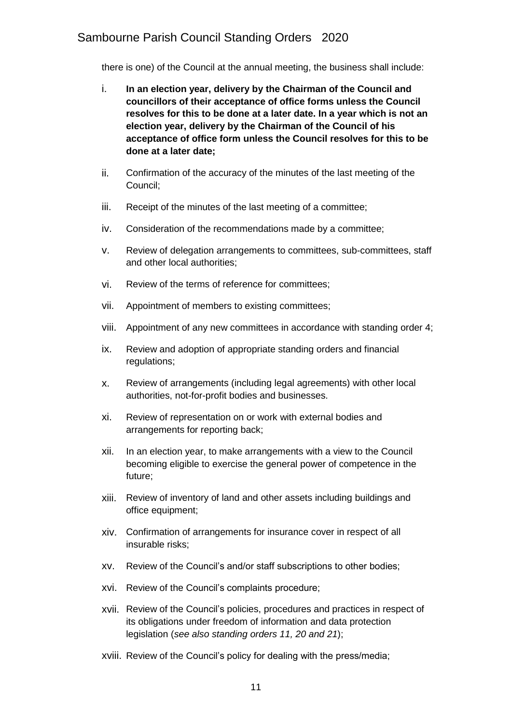there is one) of the Council at the annual meeting, the business shall include:

- i. **In an election year, delivery by the Chairman of the Council and councillors of their acceptance of office forms unless the Council resolves for this to be done at a later date. In a year which is not an election year, delivery by the Chairman of the Council of his acceptance of office form unless the Council resolves for this to be done at a later date;**
- ii. Confirmation of the accuracy of the minutes of the last meeting of the Council;
- iii. Receipt of the minutes of the last meeting of a committee;
- iv. Consideration of the recommendations made by a committee;
- v. Review of delegation arrangements to committees, sub-committees, staff and other local authorities;
- vi. Review of the terms of reference for committees;
- vii. Appointment of members to existing committees;
- viii. Appointment of any new committees in accordance with standing order 4;
- ix. Review and adoption of appropriate standing orders and financial regulations;
- x. Review of arrangements (including legal agreements) with other local authorities, not-for-profit bodies and businesses.
- xi. Review of representation on or work with external bodies and arrangements for reporting back;
- xii. In an election year, to make arrangements with a view to the Council becoming eligible to exercise the general power of competence in the future;
- xiii. Review of inventory of land and other assets including buildings and office equipment;
- xiv. Confirmation of arrangements for insurance cover in respect of all insurable risks;
- xv. Review of the Council's and/or staff subscriptions to other bodies;
- xvi. Review of the Council's complaints procedure;
- xvii. Review of the Council's policies, procedures and practices in respect of its obligations under freedom of information and data protection legislation (*see also standing orders 11, 20 and 21*);
- xviii. Review of the Council's policy for dealing with the press/media;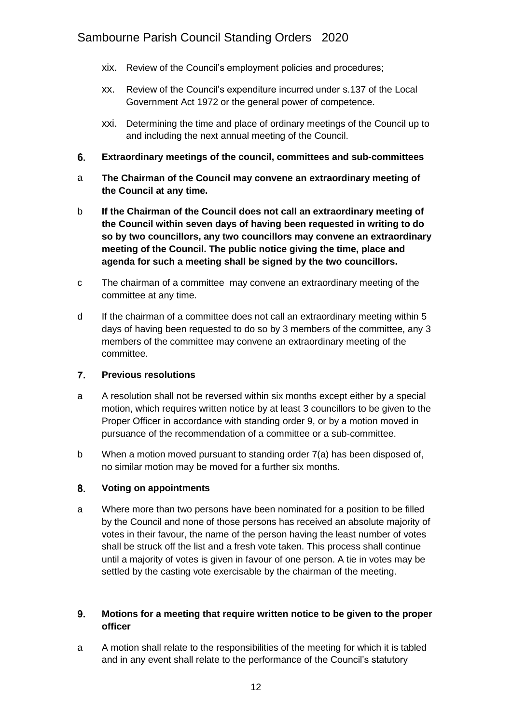- xix. Review of the Council's employment policies and procedures;
- xx. Review of the Council's expenditure incurred under s.137 of the Local Government Act 1972 or the general power of competence.
- xxi. Determining the time and place of ordinary meetings of the Council up to and including the next annual meeting of the Council.
- <span id="page-11-0"></span>6. **Extraordinary meetings of the council, committees and sub-committees**
- a **The Chairman of the Council may convene an extraordinary meeting of the Council at any time.**
- b **If the Chairman of the Council does not call an extraordinary meeting of the Council within seven days of having been requested in writing to do so by two councillors, any two councillors may convene an extraordinary meeting of the Council. The public notice giving the time, place and agenda for such a meeting shall be signed by the two councillors.**
- c The chairman of a committee may convene an extraordinary meeting of the committee at any time.
- d If the chairman of a committee does not call an extraordinary meeting within 5 days of having been requested to do so by 3 members of the committee, any 3 members of the committee may convene an extraordinary meeting of the committee.

### <span id="page-11-1"></span> $\overline{7}$ . **Previous resolutions**

- a A resolution shall not be reversed within six months except either by a special motion, which requires written notice by at least 3 councillors to be given to the Proper Officer in accordance with standing order 9, or by a motion moved in pursuance of the recommendation of a committee or a sub-committee.
- b When a motion moved pursuant to standing order 7(a) has been disposed of, no similar motion may be moved for a further six months.

### <span id="page-11-2"></span>8. **Voting on appointments**

a Where more than two persons have been nominated for a position to be filled by the Council and none of those persons has received an absolute majority of votes in their favour, the name of the person having the least number of votes shall be struck off the list and a fresh vote taken. This process shall continue until a majority of votes is given in favour of one person. A tie in votes may be settled by the casting vote exercisable by the chairman of the meeting.

### <span id="page-11-3"></span> $9.$ **Motions for a meeting that require written notice to be given to the proper officer**

a A motion shall relate to the responsibilities of the meeting for which it is tabled and in any event shall relate to the performance of the Council's statutory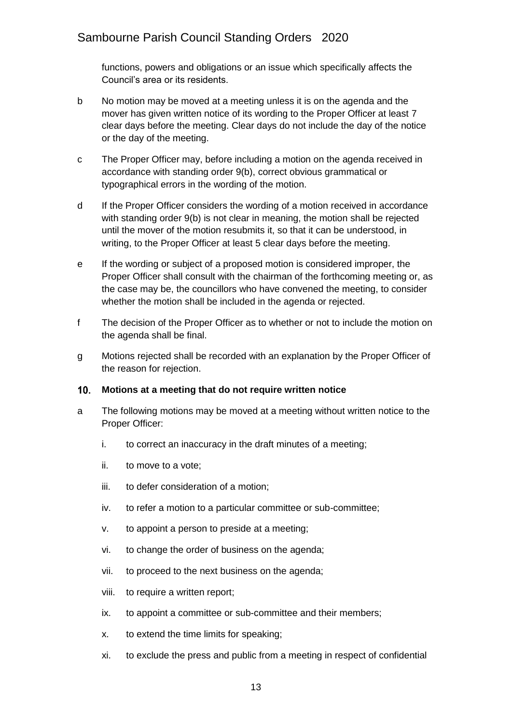functions, powers and obligations or an issue which specifically affects the Council's area or its residents.

- b No motion may be moved at a meeting unless it is on the agenda and the mover has given written notice of its wording to the Proper Officer at least 7 clear days before the meeting. Clear days do not include the day of the notice or the day of the meeting.
- c The Proper Officer may, before including a motion on the agenda received in accordance with standing order 9(b), correct obvious grammatical or typographical errors in the wording of the motion.
- d If the Proper Officer considers the wording of a motion received in accordance with standing order 9(b) is not clear in meaning, the motion shall be rejected until the mover of the motion resubmits it, so that it can be understood, in writing, to the Proper Officer at least 5 clear days before the meeting.
- e If the wording or subject of a proposed motion is considered improper, the Proper Officer shall consult with the chairman of the forthcoming meeting or, as the case may be, the councillors who have convened the meeting, to consider whether the motion shall be included in the agenda or rejected.
- f The decision of the Proper Officer as to whether or not to include the motion on the agenda shall be final.
- g Motions rejected shall be recorded with an explanation by the Proper Officer of the reason for rejection.

#### <span id="page-12-0"></span>**Motions at a meeting that do not require written notice**   $10.$

- a The following motions may be moved at a meeting without written notice to the Proper Officer:
	- i. to correct an inaccuracy in the draft minutes of a meeting;
	- ii. to move to a vote;
	- iii. to defer consideration of a motion;
	- iv. to refer a motion to a particular committee or sub-committee;
	- v. to appoint a person to preside at a meeting;
	- vi. to change the order of business on the agenda;
	- vii. to proceed to the next business on the agenda;
	- viii. to require a written report;
	- ix. to appoint a committee or sub-committee and their members;
	- x. to extend the time limits for speaking;
	- xi. to exclude the press and public from a meeting in respect of confidential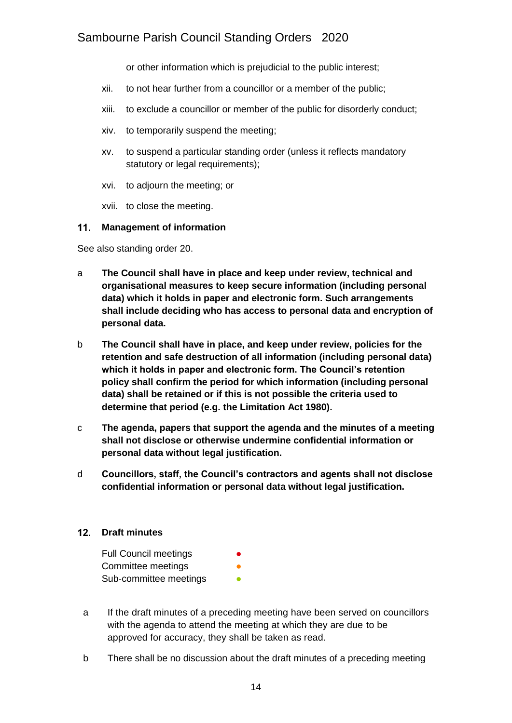or other information which is prejudicial to the public interest;

- xii. to not hear further from a councillor or a member of the public;
- xiii. to exclude a councillor or member of the public for disorderly conduct;
- xiv. to temporarily suspend the meeting;
- xv. to suspend a particular standing order (unless it reflects mandatory statutory or legal requirements);
- xvi. to adjourn the meeting; or
- xvii. to close the meeting.

### <span id="page-13-0"></span>**Management of information**

See also standing order 20.

- a **The Council shall have in place and keep under review, technical and organisational measures to keep secure information (including personal data) which it holds in paper and electronic form. Such arrangements shall include deciding who has access to personal data and encryption of personal data.**
- b **The Council shall have in place, and keep under review, policies for the retention and safe destruction of all information (including personal data) which it holds in paper and electronic form. The Council's retention policy shall confirm the period for which information (including personal data) shall be retained or if this is not possible the criteria used to determine that period (e.g. the Limitation Act 1980).**
- c **The agenda, papers that support the agenda and the minutes of a meeting shall not disclose or otherwise undermine confidential information or personal data without legal justification.**
- d **Councillors, staff, the Council's contractors and agents shall not disclose confidential information or personal data without legal justification.**

### <span id="page-13-1"></span>**Draft minutes**

| <b>Full Council meetings</b> | $\bullet$ |
|------------------------------|-----------|
| Committee meetings           | O         |
| Sub-committee meetings       |           |

- a If the draft minutes of a preceding meeting have been served on councillors with the agenda to attend the meeting at which they are due to be approved for accuracy, they shall be taken as read.
- b There shall be no discussion about the draft minutes of a preceding meeting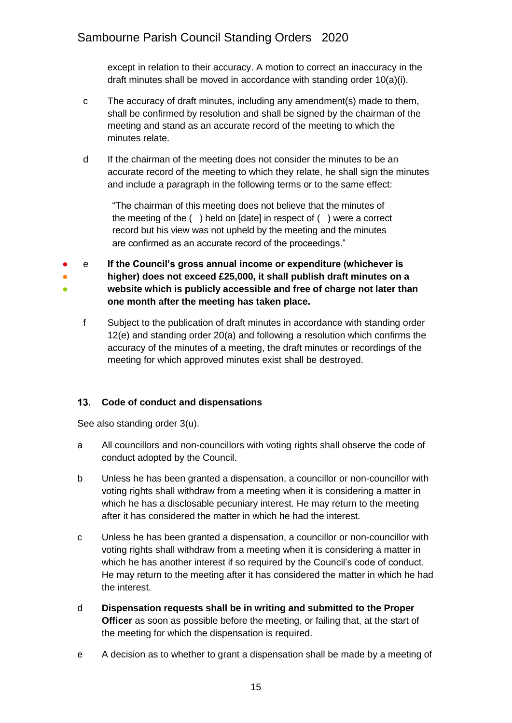except in relation to their accuracy. A motion to correct an inaccuracy in the draft minutes shall be moved in accordance with standing order 10(a)(i).

- c The accuracy of draft minutes, including any amendment(s) made to them, shall be confirmed by resolution and shall be signed by the chairman of the meeting and stand as an accurate record of the meeting to which the minutes relate.
- d If the chairman of the meeting does not consider the minutes to be an accurate record of the meeting to which they relate, he shall sign the minutes and include a paragraph in the following terms or to the same effect:

"The chairman of this meeting does not believe that the minutes of the meeting of the ( ) held on [date] in respect of ( ) were a correct record but his view was not upheld by the meeting and the minutes are confirmed as an accurate record of the proceedings."

- ● ● e **If the Council's gross annual income or expenditure (whichever is higher) does not exceed £25,000, it shall publish draft minutes on a website which is publicly accessible and free of charge not later than one month after the meeting has taken place.**
	- f Subject to the publication of draft minutes in accordance with standing order 12(e) and standing order 20(a) and following a resolution which confirms the accuracy of the minutes of a meeting, the draft minutes or recordings of the meeting for which approved minutes exist shall be destroyed.

## <span id="page-14-0"></span>**Code of conduct and dispensations**

See also standing order 3(u).

- a All councillors and non-councillors with voting rights shall observe the code of conduct adopted by the Council.
- b Unless he has been granted a dispensation, a councillor or non-councillor with voting rights shall withdraw from a meeting when it is considering a matter in which he has a disclosable pecuniary interest. He may return to the meeting after it has considered the matter in which he had the interest.
- c Unless he has been granted a dispensation, a councillor or non-councillor with voting rights shall withdraw from a meeting when it is considering a matter in which he has another interest if so required by the Council's code of conduct. He may return to the meeting after it has considered the matter in which he had the interest.
- d **Dispensation requests shall be in writing and submitted to the Proper Officer** as soon as possible before the meeting, or failing that, at the start of the meeting for which the dispensation is required.
- e A decision as to whether to grant a dispensation shall be made by a meeting of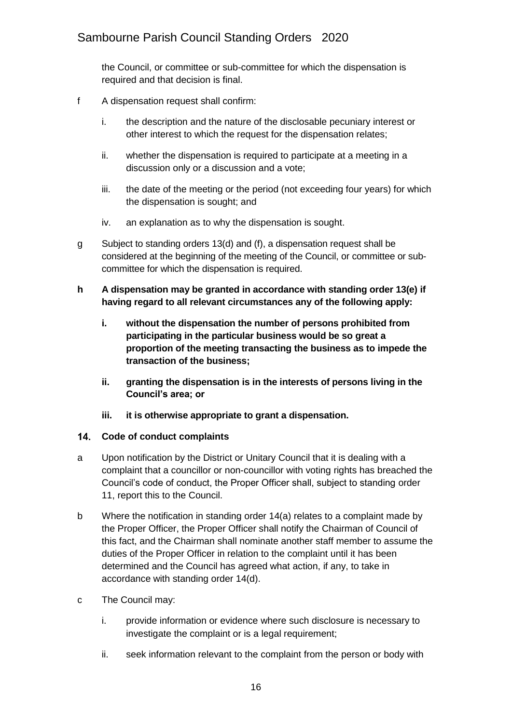the Council, or committee or sub-committee for which the dispensation is required and that decision is final.

- f A dispensation request shall confirm:
	- i. the description and the nature of the disclosable pecuniary interest or other interest to which the request for the dispensation relates;
	- ii. whether the dispensation is required to participate at a meeting in a discussion only or a discussion and a vote;
	- iii. the date of the meeting or the period (not exceeding four years) for which the dispensation is sought; and
	- iv. an explanation as to why the dispensation is sought.
- g Subject to standing orders 13(d) and (f), a dispensation request shall be considered at the beginning of the meeting of the Council, or committee or subcommittee for which the dispensation is required.
- **h A dispensation may be granted in accordance with standing order 13(e) if having regard to all relevant circumstances any of the following apply:**
	- **i. without the dispensation the number of persons prohibited from participating in the particular business would be so great a proportion of the meeting transacting the business as to impede the transaction of the business;**
	- **ii. granting the dispensation is in the interests of persons living in the Council's area; or**
	- **iii. it is otherwise appropriate to grant a dispensation.**

### <span id="page-15-0"></span>**Code of conduct complaints**

- a Upon notification by the District or Unitary Council that it is dealing with a complaint that a councillor or non-councillor with voting rights has breached the Council's code of conduct, the Proper Officer shall, subject to standing order 11, report this to the Council.
- b Where the notification in standing order 14(a) relates to a complaint made by the Proper Officer, the Proper Officer shall notify the Chairman of Council of this fact, and the Chairman shall nominate another staff member to assume the duties of the Proper Officer in relation to the complaint until it has been determined and the Council has agreed what action, if any, to take in accordance with standing order 14(d).
- c The Council may:
	- i. provide information or evidence where such disclosure is necessary to investigate the complaint or is a legal requirement;
	- ii. seek information relevant to the complaint from the person or body with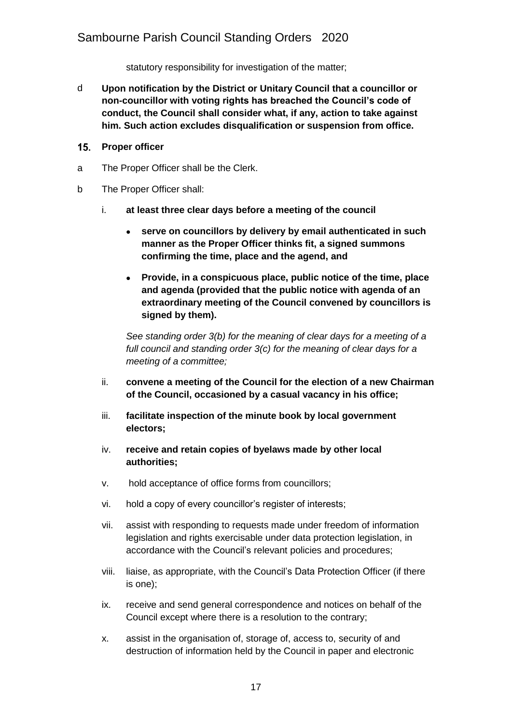statutory responsibility for investigation of the matter;

- d **Upon notification by the District or Unitary Council that a councillor or non-councillor with voting rights has breached the Council's code of conduct, the Council shall consider what, if any, action to take against him. Such action excludes disqualification or suspension from office.**
- <span id="page-16-0"></span>15. Proper officer
- a The Proper Officer shall be the Clerk.
- b The Proper Officer shall:
	- i. **at least three clear days before a meeting of the council**
		- **serve on councillors by delivery by email authenticated in such manner as the Proper Officer thinks fit, a signed summons confirming the time, place and the agend, and**
		- **Provide, in a conspicuous place, public notice of the time, place and agenda (provided that the public notice with agenda of an extraordinary meeting of the Council convened by councillors is signed by them).**

*See standing order 3(b) for the meaning of clear days for a meeting of a full council and standing order 3(c) for the meaning of clear days for a meeting of a committee;*

- ii. **convene a meeting of the Council for the election of a new Chairman of the Council, occasioned by a casual vacancy in his office;**
- iii. **facilitate inspection of the minute book by local government electors;**
- iv. **receive and retain copies of byelaws made by other local authorities;**
- v. hold acceptance of office forms from councillors;
- vi. hold a copy of every councillor's register of interests;
- vii. assist with responding to requests made under freedom of information legislation and rights exercisable under data protection legislation, in accordance with the Council's relevant policies and procedures;
- viii. liaise, as appropriate, with the Council's Data Protection Officer (if there is one);
- ix. receive and send general correspondence and notices on behalf of the Council except where there is a resolution to the contrary;
- x. assist in the organisation of, storage of, access to, security of and destruction of information held by the Council in paper and electronic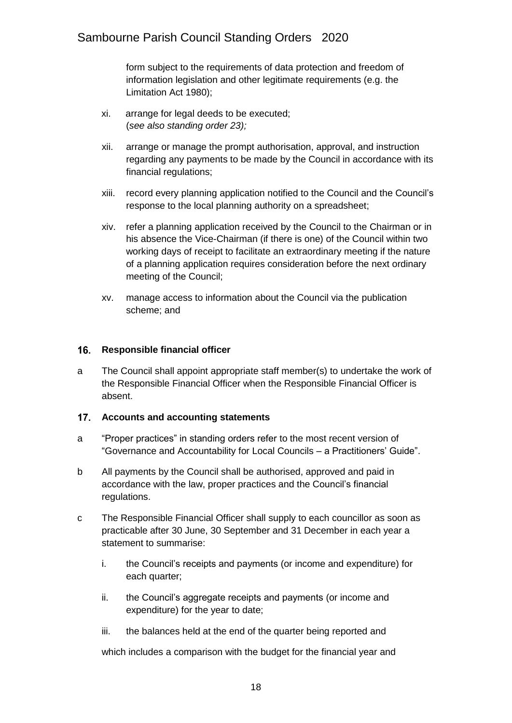form subject to the requirements of data protection and freedom of information legislation and other legitimate requirements (e.g. the Limitation Act 1980);

- xi. arrange for legal deeds to be executed; (*see also standing order 23);*
- xii. arrange or manage the prompt authorisation, approval, and instruction regarding any payments to be made by the Council in accordance with its financial regulations;
- xiii. record every planning application notified to the Council and the Council's response to the local planning authority on a spreadsheet;
- xiv. refer a planning application received by the Council to the Chairman or in his absence the Vice-Chairman (if there is one) of the Council within two working days of receipt to facilitate an extraordinary meeting if the nature of a planning application requires consideration before the next ordinary meeting of the Council;
- xv. manage access to information about the Council via the publication scheme; and

### <span id="page-17-0"></span>16. **Responsible financial officer**

a The Council shall appoint appropriate staff member(s) to undertake the work of the Responsible Financial Officer when the Responsible Financial Officer is absent.

### <span id="page-17-1"></span> $17.$ **Accounts and accounting statements**

- a "Proper practices" in standing orders refer to the most recent version of "Governance and Accountability for Local Councils – a Practitioners' Guide".
- b All payments by the Council shall be authorised, approved and paid in accordance with the law, proper practices and the Council's financial regulations.
- c The Responsible Financial Officer shall supply to each councillor as soon as practicable after 30 June, 30 September and 31 December in each year a statement to summarise:
	- i. the Council's receipts and payments (or income and expenditure) for each quarter;
	- ii. the Council's aggregate receipts and payments (or income and expenditure) for the year to date;
	- iii. the balances held at the end of the quarter being reported and

which includes a comparison with the budget for the financial year and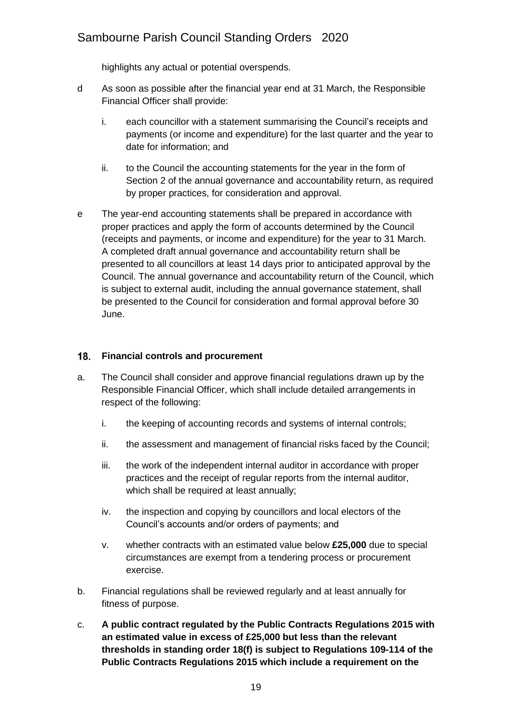highlights any actual or potential overspends.

- d As soon as possible after the financial year end at 31 March, the Responsible Financial Officer shall provide:
	- i. each councillor with a statement summarising the Council's receipts and payments (or income and expenditure) for the last quarter and the year to date for information; and
	- ii. to the Council the accounting statements for the year in the form of Section 2 of the annual governance and accountability return, as required by proper practices, for consideration and approval.
- e The year-end accounting statements shall be prepared in accordance with proper practices and apply the form of accounts determined by the Council (receipts and payments, or income and expenditure) for the year to 31 March. A completed draft annual governance and accountability return shall be presented to all councillors at least 14 days prior to anticipated approval by the Council. The annual governance and accountability return of the Council, which is subject to external audit, including the annual governance statement, shall be presented to the Council for consideration and formal approval before 30 June.

## <span id="page-18-0"></span>**Financial controls and procurement**

- a. The Council shall consider and approve financial regulations drawn up by the Responsible Financial Officer, which shall include detailed arrangements in respect of the following:
	- i. the keeping of accounting records and systems of internal controls;
	- ii. the assessment and management of financial risks faced by the Council;
	- iii. the work of the independent internal auditor in accordance with proper practices and the receipt of regular reports from the internal auditor, which shall be required at least annually;
	- iv. the inspection and copying by councillors and local electors of the Council's accounts and/or orders of payments; and
	- v. whether contracts with an estimated value below **£25,000** due to special circumstances are exempt from a tendering process or procurement exercise.
- b. Financial regulations shall be reviewed regularly and at least annually for fitness of purpose.
- c. **A public contract regulated by the Public Contracts Regulations 2015 with an estimated value in excess of £25,000 but less than the relevant thresholds in standing order 18(f) is subject to Regulations 109-114 of the Public Contracts Regulations 2015 which include a requirement on the**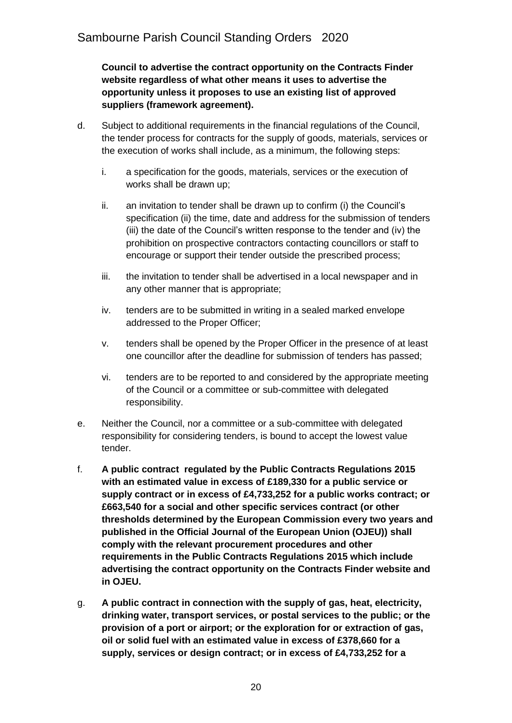**Council to advertise the contract opportunity on the Contracts Finder website regardless of what other means it uses to advertise the opportunity unless it proposes to use an existing list of approved suppliers (framework agreement).**

- d. Subject to additional requirements in the financial regulations of the Council, the tender process for contracts for the supply of goods, materials, services or the execution of works shall include, as a minimum, the following steps:
	- i. a specification for the goods, materials, services or the execution of works shall be drawn up;
	- ii. an invitation to tender shall be drawn up to confirm (i) the Council's specification (ii) the time, date and address for the submission of tenders (iii) the date of the Council's written response to the tender and (iv) the prohibition on prospective contractors contacting councillors or staff to encourage or support their tender outside the prescribed process;
	- iii. the invitation to tender shall be advertised in a local newspaper and in any other manner that is appropriate;
	- iv. tenders are to be submitted in writing in a sealed marked envelope addressed to the Proper Officer;
	- v. tenders shall be opened by the Proper Officer in the presence of at least one councillor after the deadline for submission of tenders has passed;
	- vi. tenders are to be reported to and considered by the appropriate meeting of the Council or a committee or sub-committee with delegated responsibility.
- e. Neither the Council, nor a committee or a sub-committee with delegated responsibility for considering tenders, is bound to accept the lowest value tender.
- f. **A public contract regulated by the Public Contracts Regulations 2015 with an estimated value in excess of £189,330 for a public service or supply contract or in excess of £4,733,252 for a public works contract; or £663,540 for a social and other specific services contract (or other thresholds determined by the European Commission every two years and published in the Official Journal of the European Union (OJEU)) shall comply with the relevant procurement procedures and other requirements in the Public Contracts Regulations 2015 which include advertising the contract opportunity on the Contracts Finder website and in OJEU.**
- g. **A public contract in connection with the supply of gas, heat, electricity, drinking water, transport services, or postal services to the public; or the provision of a port or airport; or the exploration for or extraction of gas, oil or solid fuel with an estimated value in excess of £378,660 for a supply, services or design contract; or in excess of £4,733,252 for a**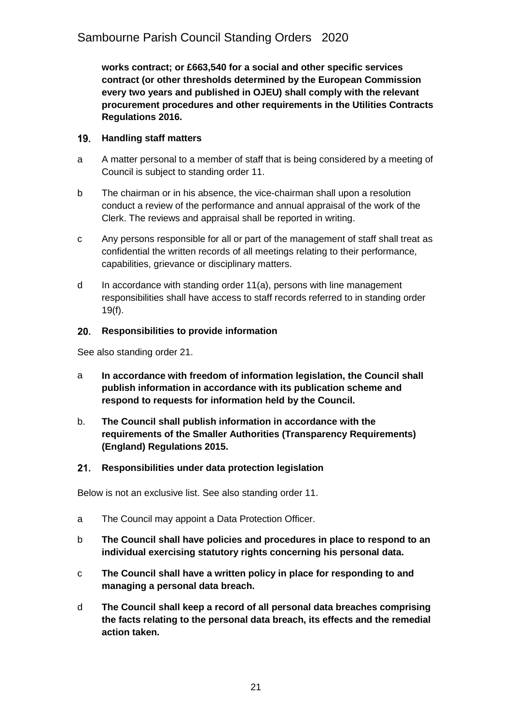**works contract; or £663,540 for a social and other specific services contract (or other thresholds determined by the European Commission every two years and published in OJEU) shall comply with the relevant procurement procedures and other requirements in the Utilities Contracts Regulations 2016.**

### <span id="page-20-0"></span> $19.$ **Handling staff matters**

- a A matter personal to a member of staff that is being considered by a meeting of Council is subject to standing order 11.
- b The chairman or in his absence, the vice-chairman shall upon a resolution conduct a review of the performance and annual appraisal of the work of the Clerk. The reviews and appraisal shall be reported in writing.
- c Any persons responsible for all or part of the management of staff shall treat as confidential the written records of all meetings relating to their performance, capabilities, grievance or disciplinary matters.
- d In accordance with standing order 11(a), persons with line management responsibilities shall have access to staff records referred to in standing order 19(f).

### <span id="page-20-1"></span>20. **Responsibilities to provide information**

See also standing order 21.

- a **In accordance with freedom of information legislation, the Council shall publish information in accordance with its publication scheme and respond to requests for information held by the Council.**
- b. **The Council shall publish information in accordance with the requirements of the Smaller Authorities (Transparency Requirements) (England) Regulations 2015.**

### <span id="page-20-2"></span> $21.$ **Responsibilities under data protection legislation**

Below is not an exclusive list. See also standing order 11.

- a The Council may appoint a Data Protection Officer.
- b **The Council shall have policies and procedures in place to respond to an individual exercising statutory rights concerning his personal data.**
- c **The Council shall have a written policy in place for responding to and managing a personal data breach.**
- d **The Council shall keep a record of all personal data breaches comprising the facts relating to the personal data breach, its effects and the remedial action taken.**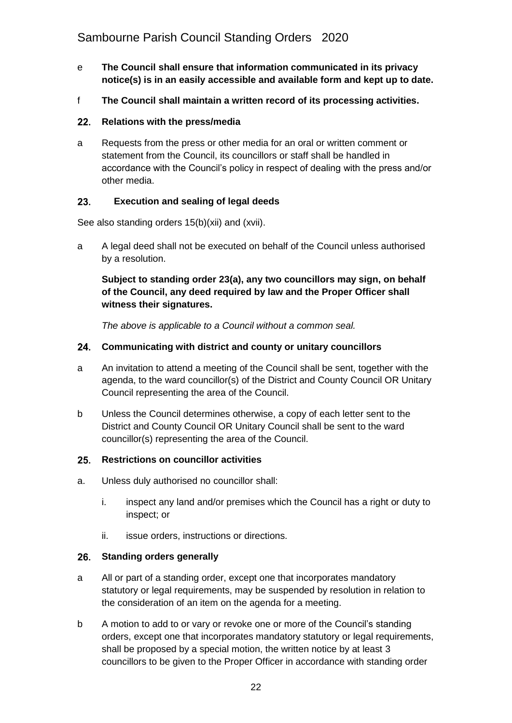- e **The Council shall ensure that information communicated in its privacy notice(s) is in an easily accessible and available form and kept up to date.**
- f **The Council shall maintain a written record of its processing activities.**

## <span id="page-21-0"></span>**Relations with the press/media**

a Requests from the press or other media for an oral or written comment or statement from the Council, its councillors or staff shall be handled in accordance with the Council's policy in respect of dealing with the press and/or other media.

### <span id="page-21-1"></span> $23.$ **Execution and sealing of legal deeds**

See also standing orders 15(b)(xii) and (xvii).

a A legal deed shall not be executed on behalf of the Council unless authorised by a resolution.

## **Subject to standing order 23(a), any two councillors may sign, on behalf of the Council, any deed required by law and the Proper Officer shall witness their signatures.**

*The above is applicable to a Council without a common seal.*

### <span id="page-21-2"></span> $24.$ **Communicating with district and county or unitary councillors**

- a An invitation to attend a meeting of the Council shall be sent, together with the agenda, to the ward councillor(s) of the District and County Council OR Unitary Council representing the area of the Council.
- b Unless the Council determines otherwise, a copy of each letter sent to the District and County Council OR Unitary Council shall be sent to the ward councillor(s) representing the area of the Council.

#### <span id="page-21-3"></span> $25.$ **Restrictions on councillor activities**

- a. Unless duly authorised no councillor shall:
	- i. inspect any land and/or premises which the Council has a right or duty to inspect; or
	- ii. issue orders, instructions or directions.

## <span id="page-21-4"></span>**Standing orders generally**

- a All or part of a standing order, except one that incorporates mandatory statutory or legal requirements, may be suspended by resolution in relation to the consideration of an item on the agenda for a meeting.
- b A motion to add to or vary or revoke one or more of the Council's standing orders, except one that incorporates mandatory statutory or legal requirements, shall be proposed by a special motion, the written notice by at least 3 councillors to be given to the Proper Officer in accordance with standing order